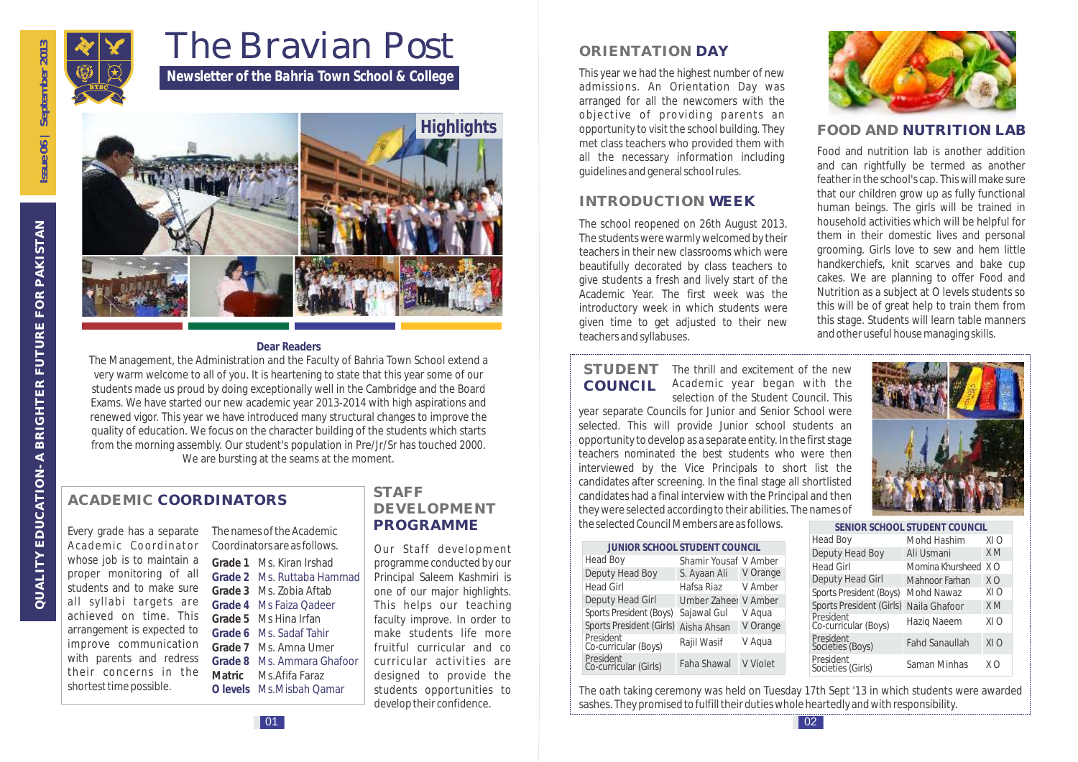

# The Bravian Post

*Newsletter of the Bahria Town School & College*



#### **Dear Readers**

The Management, the Administration and the Faculty of Bahria Town School extend a very warm welcome to all of you. It is heartening to state that this year some of our students made us proud by doing exceptionally well in the Cambridge and the Board Exams. We have started our new academic year 2013-2014 with high aspirations and renewed vigor. This year we have introduced many structural changes to improve the quality of education. We focus on the character building of the students which starts from the morning assembly. Our student's population in Pre/Jr/Sr has touched 2000. We are bursting at the seams at the moment.

# **ACADEMIC COORDINATORS**

Every grade has a separate Academic Coordinator whose job is to maintain a proper monitoring of all students and to make sure all syllabi targets are achieved on time. This arrangement is expected to improve communication with parents and redress their concerns in the shortest time possible.

| The names of the Academic<br>Coordinators are as follows. |                    |  |
|-----------------------------------------------------------|--------------------|--|
| Grade 1                                                   | Ms. Kiran Irshad   |  |
| Grade 2                                                   | Ms. Ruttaba Hammad |  |
| Grade 3                                                   | Ms. Zobia Aftab    |  |
| Grade 4                                                   | Ms Faiza Oadeer    |  |
| Grade 5                                                   | Ms Hina Irfan      |  |
| Grade 6                                                   | Ms. Sadaf Tahir    |  |
| Grade 7                                                   | Ms. Amna Umer      |  |
| Grade 8                                                   | Ms. Ammara Ghafoor |  |
| Matric                                                    | Ms Afifa Faraz     |  |
| O levels                                                  | Ms Misbah Oamar    |  |

#### **STAFF DEVELOPMENT PROGRAMME**

Our Staff development programme conducted by our Principal Saleem Kashmiri is one of our major highlights. This helps our teaching faculty improve. In order to make students life more fruitful curricular and co curricular activities are designed to provide the students opportunities to develop their confidence.

# **ORIENTATION DAY**

This year we had the highest number of new admissions. An Orientation Day was arranged for all the newcomers with the objective of providing parents an opportunity to visit the school building. They met class teachers who provided them with all the necessary information including guidelines and general school rules.

## **INTRODUCTION WEEK**

The school reopened on 26th August 2013. The students were warmly welcomed by their teachers in their new classrooms which were beautifully decorated by class teachers to give students a fresh and lively start of the Academic Year. The first week was the introductory week in which students were given time to get adjusted to their new teachers and syllabuses.



## **FOOD AND NUTRITION LAB**

Food and nutrition lab is another addition and can rightfully be termed as another feather in the school's cap. This will make sure that our children grow up as fully functional human beings. The girls will be trained in household activities which will be helpful for them in their domestic lives and personal grooming. Girls love to sew and hem little handkerchiefs, knit scarves and bake cup cakes. We are planning to offer Food and Nutrition as a subject at O levels students so this will be of great help to train them from this stage. Students will learn table manners and other useful house managing skills.

The thrill and excitement of the new Academic year began with the **STUDENT COUNCIL**

selection of the Student Council. This year separate Councils for Junior and Senior School were selected. This will provide Junior school students an opportunity to develop as a separate entity. In the first stage teachers nominated the best students who were then interviewed by the Vice Principals to short list the candidates after screening. In the final stage all shortlisted candidates had a final interview with the Principal and then they were selected according to their abilities. The names of the selected Council Members are as follows.

| <b>JUNIOR SCHOOL STUDENT COUNCIL</b> |                       |          |  |
|--------------------------------------|-----------------------|----------|--|
| <b>Head Boy</b>                      | Shamir Yousaf V Amber |          |  |
| Deputy Head Boy                      | S. Ayaan Ali          | V Orange |  |
| <b>Head Girl</b>                     | Hafsa Riaz            | V Amber  |  |
| Deputy Head Girl                     | Umber Zaheer V Amber  |          |  |
| Sports President (Boys)              | Sajawal Gul           | V Aqua   |  |
| Sports President (Girls)             | Aisha Ahsan           | V Orange |  |
| President<br>Co-curricular (Boys)    | Rajil Wasif           | V Aqua   |  |
| President<br>Co-curricular (Girls)   | Faha Shawal           | V Violet |  |



#### **SENIOR SCHOOL STUDENT COUNCIL**

| Head Boy                          | Mohd Hashim           | XI O           |
|-----------------------------------|-----------------------|----------------|
| Deputy Head Boy                   | Ali Usmani            | X <sub>M</sub> |
| <b>Head Girl</b>                  | Momina Khursheed      | X O            |
| Deputy Head Girl                  | Mahnoor Farhan        | X O            |
| Sports President (Boys)           | Mohd Nawaz            | XI O           |
| Sports President (Girls)          | Naila Ghafoor         | X <sub>M</sub> |
| President<br>Co-curricular (Boys) | Hazig Naeem           | XI O           |
| President<br>Societies (Boys)     | <b>Fahd Sanaullah</b> | XI O           |
| President<br>Societies (Girls)    | Saman Minhas          | ΧO             |

The oath taking ceremony was held on Tuesday 17th Sept '13 in which students were awarded sashes. They promised to fulfill their duties whole heartedly and with responsibility.

**QUALITY EDUCATION- A BRIGHTER FUTURE FOR PAKISTAN**

QUALITY EDUCATION- A BRIGHTER FUTURE FOR PAKISTAN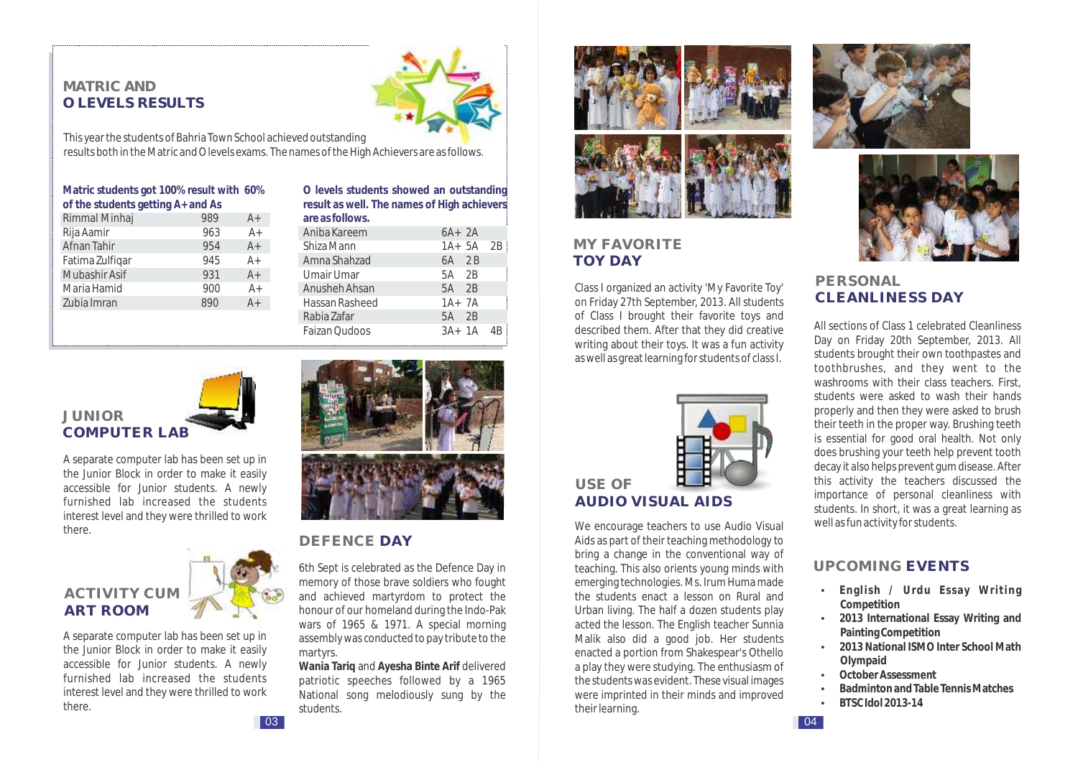#### **MATRIC AND O LEVELS RESULTS**



This year the students of Bahria Town School achieved outstanding results both in the Matric and O levels exams. The names of the High Achievers are as follows.

| Matric students got 100% result with 60% |     |       |  |
|------------------------------------------|-----|-------|--|
| of the students getting A+ and As        |     |       |  |
| Rimmal Minhaj                            | 989 | $A+$  |  |
| Rija Aamir                               | 963 | $A+$  |  |
| Afnan Tahir                              | 954 | $A+$  |  |
| Fatima Zulfiqar                          | 945 | $A+$  |  |
| Mubashir Asif                            | 931 | $A+$  |  |
| Maria Hamid                              | 900 | $A+$  |  |
| Zubia Imran                              | 890 | $A +$ |  |
|                                          |     |       |  |

**O levels students showed an outstanding result as well. The names of High achievers are as follows.**

| Aniba Kareem   | $6A+2A$ |            |    |
|----------------|---------|------------|----|
| Shiza Mann     |         | $1A+5A$ 2B |    |
| Amna Shahzad   | 6A 2B   |            |    |
| Umair Umar     | 5A 2B   |            |    |
| Anusheh Ahsan  | 5A 2B   |            |    |
| Hassan Rasheed | $1A+7A$ |            |    |
| Rabia Zafar    | 5A 2B   |            |    |
| Faizan Qudoos  | $3A+1A$ |            | 4B |
|                |         |            |    |



A separate computer lab has been set up in the Junior Block in order to make it easily accessible for Junior students. A newly furnished lab increased the students interest level and they were thrilled to work there.

# **ACTIVITY CUM ART ROOM**

A separate computer lab has been set up in the Junior Block in order to make it easily accessible for Junior students. A newly furnished lab increased the students interest level and they were thrilled to work there.



#### **DEFENCE DAY**

6th Sept is celebrated as the Defence Day in memory of those brave soldiers who fought and achieved martyrdom to protect the honour of our homeland during the Indo-Pak wars of 1965 & 1971. A special morning assembly was conducted to pay tribute to the martyrs.

**Wania Tariq** and **Ayesha Binte Arif** delivered patriotic speeches followed by a 1965 National song melodiously sung by the students.



# **MY FAVORITE TOY DAY**

Class I organized an activity 'My Favorite Toy' on Friday 27th September, 2013. All students of Class I brought their favorite toys and described them. After that they did creative writing about their toys. It was a fun activity as well as great learning for students of class I.



**USE OF AUDIO VISUAL AIDS**

We encourage teachers to use Audio Visual Aids as part of their teaching methodology to bring a change in the conventional way of teaching. This also orients young minds with emerging technologies. Ms. Irum Huma made the students enact a lesson on Rural and Urban living. The half a dozen students play acted the lesson. The English teacher Sunnia Malik also did a good job. Her students enacted a portion from Shakespear's Othello a play they were studying. The enthusiasm of the students was evident. These visual images were imprinted in their minds and improved their learning.





## **PERSONAL CLEANLINESS DAY**

All sections of Class 1 celebrated Cleanliness Day on Friday 20th September, 2013. All students brought their own toothpastes and toothbrushes, and they went to the washrooms with their class teachers. First, students were asked to wash their hands properly and then they were asked to brush their teeth in the proper way. Brushing teeth is essential for good oral health. Not only does brushing your teeth help prevent tooth decay it also helps prevent gum disease. After this activity the teachers discussed the importance of personal cleanliness with students. In short, it was a great learning as well as fun activity for students.

## **UPCOMING EVENTS**

- Ÿ **English / Urdu Essay Writing Competition**
- $\cdot$  2013 International Essay Writing and **Painting Competition**
- $\cdot$  2013 National ISMO Inter School Math **Olympaid**
- **•** October Assessment
- **Badminton and Table Tennis Matches**
- Ÿ **BTSC Idol 2013-14**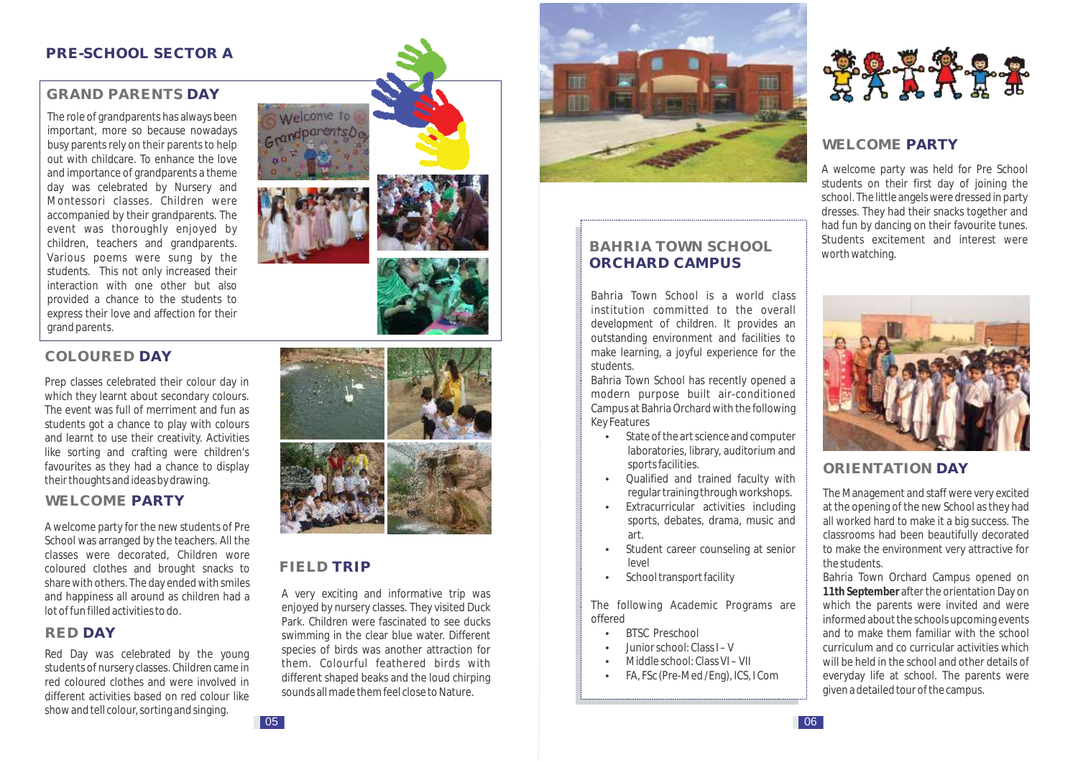#### **PRE-SCHOOL SECTOR A**

## **GRAND PARENTS DAY**

The role of grandparents has always been important, more so because nowadays busy parents rely on their parents to help out with childcare. To enhance the love and importance of grandparents a theme day was celebrated by Nursery and Montessori classes. Children were accompanied by their grandparents. The event was thoroughly enjoyed by children, teachers and grandparents. Various poems were sung by the students. This not only increased their interaction with one other but also provided a chance to the students to express their love and affection for their grand parents.





## **COLOURED DAY**

Prep classes celebrated their colour day in which they learnt about secondary colours. The event was full of merriment and fun as students got a chance to play with colours and learnt to use their creativity. Activities like sorting and crafting were children's favourites as they had a chance to display their thoughts and ideas by drawing.

#### **WELCOME PARTY**

A welcome party for the new students of Pre School was arranged by the teachers. All the classes were decorated, Children wore coloured clothes and brought snacks to share with others. The day ended with smiles and happiness all around as children had a lot of fun filled activities to do.

#### **RED DAY**

Red Day was celebrated by the young students of nursery classes. Children came in red coloured clothes and were involved in different activities based on red colour like show and tell colour, sorting and singing.



## **FIELD TRIP**

A very exciting and informative trip was enjoyed by nursery classes. They visited Duck Park. Children were fascinated to see ducks swimming in the clear blue water. Different species of birds was another attraction for them. Colourful feathered birds with different shaped beaks and the loud chirping sounds all made them feel close to Nature.



## **BAHRIA TOWN SCHOOL ORCHARD CAMPUS**

Bahria Town School is a world class institution committed to the overall development of children. It provides an outstanding environment and facilities to make learning, a joyful experience for the students.

Bahria Town School has recently opened a modern purpose built air-conditioned Campus at Bahria Orchard with the following Key Features

- $\cdot$  State of the art science and computer laboratories, library, auditorium and sports facilities.
- Qualified and trained faculty with regular training through workshops.
- Extracurricular activities including sports, debates, drama, music and art.
- Student career counseling at senior level
- School transport facility

The following Academic Programs are offered

- RTSC Preschool
- Ÿ Junior school: Class I V
- Middle school: Class VI VII
- FA, FSc (Pre-Med /Eng), ICS, I Com



## **WELCOME PARTY**

A welcome party was held for Pre School students on their first day of joining the school. The little angels were dressed in party dresses. They had their snacks together and had fun by dancing on their favourite tunes. Students excitement and interest were worth watching.



## **ORIENTATION DAY**

The Management and staff were very excited at the opening of the new School as they had all worked hard to make it a big success. The classrooms had been beautifully decorated to make the environment very attractive for the students.

Bahria Town Orchard Campus opened on **11th September** after the orientation Day on which the parents were invited and were informed about the schools upcoming events and to make them familiar with the school curriculum and co curricular activities which will be held in the school and other details of everyday life at school. The parents were given a detailed tour of the campus.